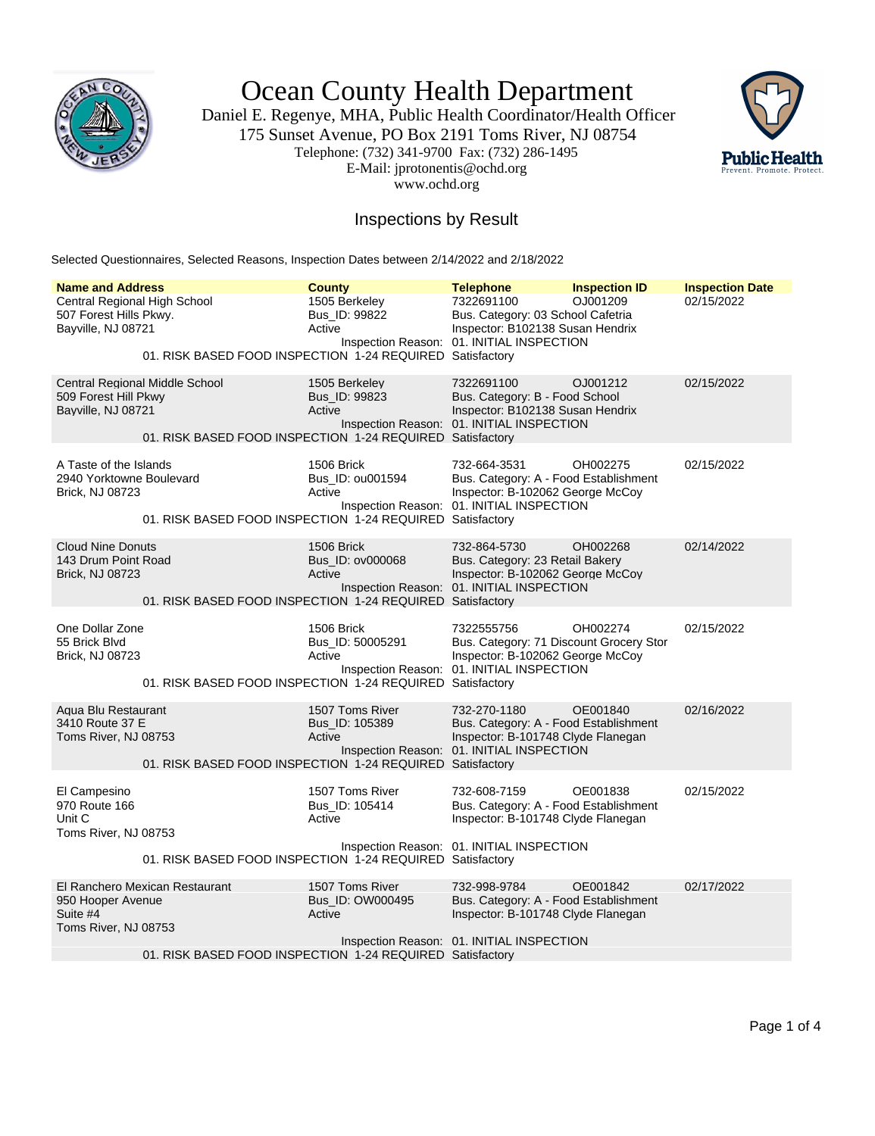

Ocean County Health Department

Daniel E. Regenye, MHA, Public Health Coordinator/Health Officer 175 Sunset Avenue, PO Box 2191 Toms River, NJ 08754 Telephone: (732) 341-9700 Fax: (732) 286-1495 E-Mail: jprotonentis@ochd.org www.ochd.org



## Inspections by Result

Selected Questionnaires, Selected Reasons, Inspection Dates between 2/14/2022 and 2/18/2022

| <b>Name and Address</b><br>Central Regional High School<br>507 Forest Hills Pkwy.<br>Bayville, NJ 08721 | 01. RISK BASED FOOD INSPECTION 1-24 REQUIRED Satisfactory | <b>County</b><br>1505 Berkeley<br>Bus_ID: 99822<br>Active | <b>Telephone</b><br>7322691100<br>Bus. Category: 03 School Cafetria<br>Inspector: B102138 Susan Hendrix<br>Inspection Reason: 01. INITIAL INSPECTION | <b>Inspection ID</b><br>OJ001209 | <b>Inspection Date</b><br>02/15/2022 |
|---------------------------------------------------------------------------------------------------------|-----------------------------------------------------------|-----------------------------------------------------------|------------------------------------------------------------------------------------------------------------------------------------------------------|----------------------------------|--------------------------------------|
| Central Regional Middle School<br>509 Forest Hill Pkwy<br>Bayville, NJ 08721                            | 01. RISK BASED FOOD INSPECTION 1-24 REQUIRED Satisfactory | 1505 Berkeley<br>Bus_ID: 99823<br>Active                  | 7322691100<br>Bus. Category: B - Food School<br>Inspector: B102138 Susan Hendrix<br>Inspection Reason: 01. INITIAL INSPECTION                        | OJ001212                         | 02/15/2022                           |
| A Taste of the Islands<br>2940 Yorktowne Boulevard<br>Brick, NJ 08723                                   | 01. RISK BASED FOOD INSPECTION 1-24 REQUIRED Satisfactory | 1506 Brick<br>Bus_ID: ou001594<br>Active                  | 732-664-3531<br>Bus. Category: A - Food Establishment<br>Inspector: B-102062 George McCoy<br>Inspection Reason: 01. INITIAL INSPECTION               | OH002275                         | 02/15/2022                           |
| <b>Cloud Nine Donuts</b><br>143 Drum Point Road<br><b>Brick, NJ 08723</b>                               | 01. RISK BASED FOOD INSPECTION 1-24 REQUIRED Satisfactory | 1506 Brick<br>Bus_ID: ov000068<br>Active                  | 732-864-5730<br>Bus. Category: 23 Retail Bakery<br>Inspector: B-102062 George McCoy<br>Inspection Reason: 01. INITIAL INSPECTION                     | OH002268                         | 02/14/2022                           |
| One Dollar Zone<br>55 Brick Blvd<br>Brick, NJ 08723                                                     | 01. RISK BASED FOOD INSPECTION 1-24 REQUIRED Satisfactory | 1506 Brick<br>Bus_ID: 50005291<br>Active                  | 7322555756<br>Bus. Category: 71 Discount Grocery Stor<br>Inspector: B-102062 George McCoy<br>Inspection Reason: 01. INITIAL INSPECTION               | OH002274                         | 02/15/2022                           |
| Agua Blu Restaurant<br>3410 Route 37 E<br>Toms River, NJ 08753                                          | 01. RISK BASED FOOD INSPECTION 1-24 REQUIRED Satisfactory | 1507 Toms River<br>Bus_ID: 105389<br>Active               | 732-270-1180<br>Bus. Category: A - Food Establishment<br>Inspector: B-101748 Clyde Flanegan<br>Inspection Reason: 01. INITIAL INSPECTION             | OE001840                         | 02/16/2022                           |
| El Campesino<br>970 Route 166<br>Unit C<br>Toms River, NJ 08753                                         |                                                           | 1507 Toms River<br>Bus_ID: 105414<br>Active               | 732-608-7159<br>Bus. Category: A - Food Establishment<br>Inspector: B-101748 Clyde Flanegan<br>Inspection Reason: 01. INITIAL INSPECTION             | OE001838                         | 02/15/2022                           |
|                                                                                                         | 01. RISK BASED FOOD INSPECTION 1-24 REQUIRED Satisfactory |                                                           |                                                                                                                                                      |                                  |                                      |
| El Ranchero Mexican Restaurant<br>950 Hooper Avenue<br>Suite #4<br>Toms River, NJ 08753                 |                                                           | 1507 Toms River<br>Bus ID: OW000495<br>Active             | 732-998-9784<br>Bus. Category: A - Food Establishment<br>Inspector: B-101748 Clyde Flanegan                                                          | OE001842                         | 02/17/2022                           |
|                                                                                                         | 01. RISK BASED FOOD INSPECTION 1-24 REQUIRED Satisfactory |                                                           | Inspection Reason: 01. INITIAL INSPECTION                                                                                                            |                                  |                                      |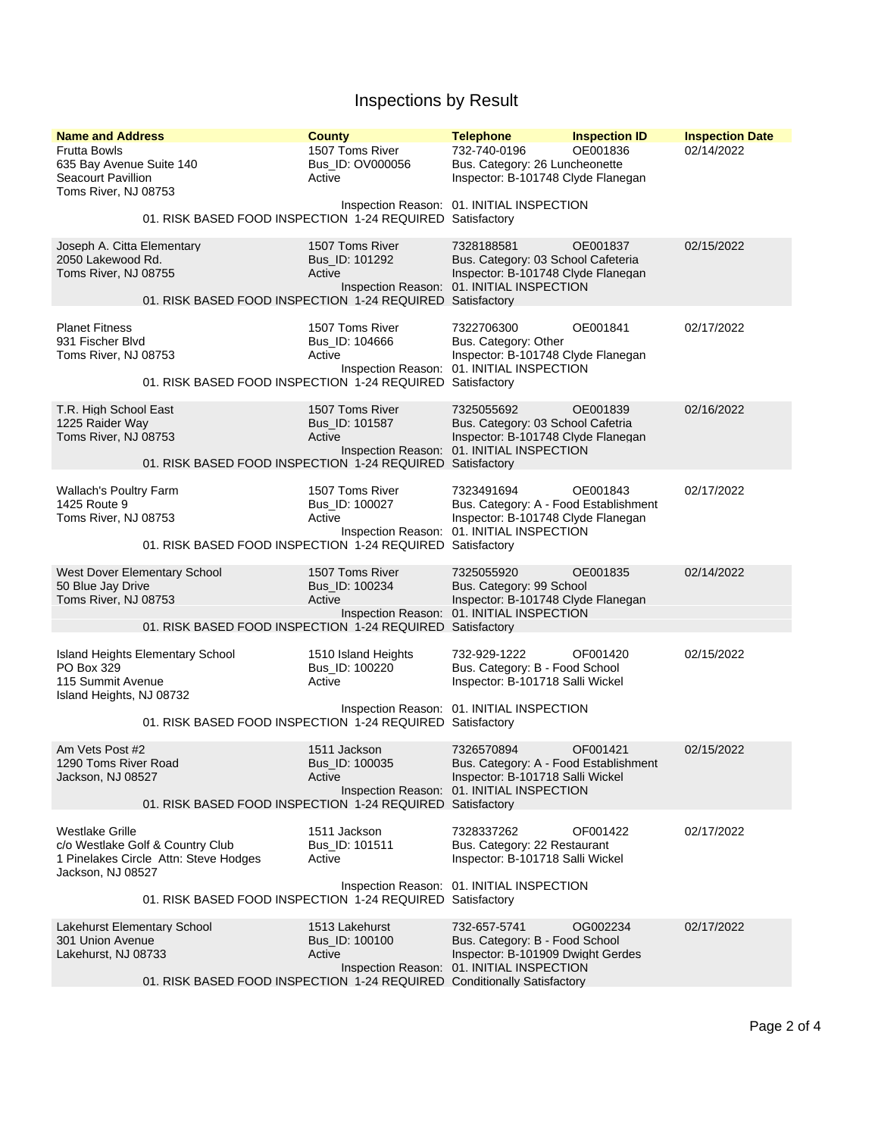## Inspections by Result

| <b>Name and Address</b><br><b>Frutta Bowls</b><br>635 Bay Avenue Suite 140<br>Seacourt Pavillion<br>Toms River, NJ 08753                                                              | <b>County</b><br>1507 Toms River<br>Bus ID: OV000056<br>Active | <b>Telephone</b><br>732-740-0196<br>Bus. Category: 26 Luncheonette<br>Inspector: B-101748 Clyde Flanegan                               | <b>Inspection ID</b><br>OE001836 | <b>Inspection Date</b><br>02/14/2022 |
|---------------------------------------------------------------------------------------------------------------------------------------------------------------------------------------|----------------------------------------------------------------|----------------------------------------------------------------------------------------------------------------------------------------|----------------------------------|--------------------------------------|
| 01. RISK BASED FOOD INSPECTION 1-24 REQUIRED Satisfactory                                                                                                                             |                                                                | Inspection Reason: 01. INITIAL INSPECTION                                                                                              |                                  |                                      |
| Joseph A. Citta Elementary<br>2050 Lakewood Rd.<br>Toms River, NJ 08755<br>01. RISK BASED FOOD INSPECTION 1-24 REQUIRED Satisfactory                                                  | 1507 Toms River<br>Bus_ID: 101292<br>Active                    | 7328188581<br>Bus. Category: 03 School Cafeteria<br>Inspector: B-101748 Clyde Flanegan<br>Inspection Reason: 01. INITIAL INSPECTION    | OE001837                         | 02/15/2022                           |
| <b>Planet Fitness</b><br>931 Fischer Blvd<br>Toms River, NJ 08753<br>01. RISK BASED FOOD INSPECTION 1-24 REQUIRED Satisfactory                                                        | 1507 Toms River<br>Bus_ID: 104666<br>Active                    | 7322706300<br>Bus. Category: Other<br>Inspector: B-101748 Clyde Flanegan<br>Inspection Reason: 01. INITIAL INSPECTION                  | OE001841                         | 02/17/2022                           |
| T.R. High School East<br>1225 Raider Way<br>Toms River, NJ 08753<br>01. RISK BASED FOOD INSPECTION 1-24 REQUIRED Satisfactory                                                         | 1507 Toms River<br>Bus ID: 101587<br>Active                    | 7325055692<br>Bus. Category: 03 School Cafetria<br>Inspector: B-101748 Clyde Flanegan<br>Inspection Reason: 01. INITIAL INSPECTION     | OE001839                         | 02/16/2022                           |
| <b>Wallach's Poultry Farm</b><br>1425 Route 9<br>Toms River, NJ 08753<br>01. RISK BASED FOOD INSPECTION 1-24 REQUIRED Satisfactory                                                    | 1507 Toms River<br>Bus_ID: 100027<br>Active                    | 7323491694<br>Bus. Category: A - Food Establishment<br>Inspector: B-101748 Clyde Flanegan<br>Inspection Reason: 01. INITIAL INSPECTION | OE001843                         | 02/17/2022                           |
| <b>West Dover Elementary School</b><br>50 Blue Jay Drive<br>Toms River, NJ 08753<br>01. RISK BASED FOOD INSPECTION 1-24 REQUIRED Satisfactory                                         | 1507 Toms River<br>Bus_ID: 100234<br>Active                    | 7325055920<br>Bus. Category: 99 School<br>Inspector: B-101748 Clyde Flanegan<br>Inspection Reason: 01. INITIAL INSPECTION              | OE001835                         | 02/14/2022                           |
| Island Heights Elementary School<br>PO Box 329<br>115 Summit Avenue<br>Island Heights, NJ 08732<br>01. RISK BASED FOOD INSPECTION 1-24 REQUIRED Satisfactory                          | 1510 Island Heights<br>Bus_ID: 100220<br>Active                | 732-929-1222<br>Bus. Category: B - Food School<br>Inspector: B-101718 Salli Wickel<br>Inspection Reason: 01. INITIAL INSPECTION        | OF001420                         | 02/15/2022                           |
| Am Vets Post #2<br>1290 Toms River Road<br>Jackson, NJ 08527<br>01. RISK BASED FOOD INSPECTION 1-24 REQUIRED Satisfactory                                                             | 1511 Jackson<br>Bus_ID: 100035<br>Active                       | 7326570894<br>Bus. Category: A - Food Establishment<br>Inspector: B-101718 Salli Wickel<br>Inspection Reason: 01. INITIAL INSPECTION   | OF001421                         | 02/15/2022                           |
| <b>Westlake Grille</b><br>c/o Westlake Golf & Country Club<br>1 Pinelakes Circle Attn: Steve Hodges<br>Jackson, NJ 08527<br>01. RISK BASED FOOD INSPECTION 1-24 REQUIRED Satisfactory | 1511 Jackson<br>Bus_ID: 101511<br>Active                       | 7328337262<br>Bus. Category: 22 Restaurant<br>Inspector: B-101718 Salli Wickel<br>Inspection Reason: 01. INITIAL INSPECTION            | OF001422                         | 02/17/2022                           |
| Lakehurst Elementary School<br>301 Union Avenue<br>Lakehurst, NJ 08733<br>01. RISK BASED FOOD INSPECTION 1-24 REQUIRED Conditionally Satisfactory                                     | 1513 Lakehurst<br>Bus_ID: 100100<br>Active                     | 732-657-5741<br>Bus. Category: B - Food School<br>Inspector: B-101909 Dwight Gerdes<br>Inspection Reason: 01. INITIAL INSPECTION       | OG002234                         | 02/17/2022                           |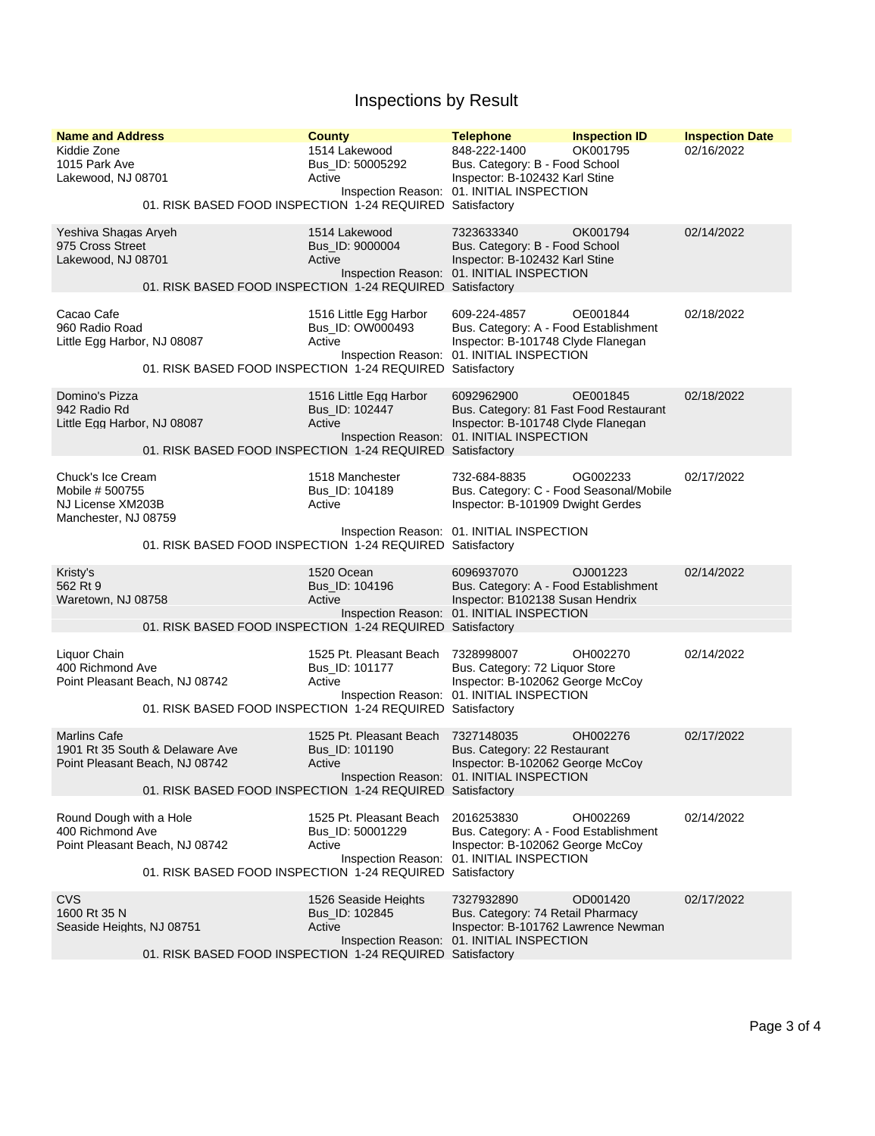## Inspections by Result

| <b>Name and Address</b><br>Kiddie Zone<br>1015 Park Ave<br>Lakewood, NJ 08701<br>01. RISK BASED FOOD INSPECTION 1-24 REQUIRED Satisfactory            | <b>County</b><br>1514 Lakewood<br>Bus ID: 50005292<br>Active | <b>Telephone</b><br>848-222-1400<br>Bus. Category: B - Food School<br>Inspector: B-102432 Karl Stine<br>Inspection Reason: 01. INITIAL INSPECTION        | <b>Inspection ID</b><br>OK001795 | <b>Inspection Date</b><br>02/16/2022 |
|-------------------------------------------------------------------------------------------------------------------------------------------------------|--------------------------------------------------------------|----------------------------------------------------------------------------------------------------------------------------------------------------------|----------------------------------|--------------------------------------|
| Yeshiva Shagas Aryeh<br>975 Cross Street<br>Lakewood, NJ 08701<br>01. RISK BASED FOOD INSPECTION 1-24 REQUIRED Satisfactory                           | 1514 Lakewood<br>Bus_ID: 9000004<br>Active                   | 7323633340<br>Bus. Category: B - Food School<br>Inspector: B-102432 Karl Stine<br>Inspection Reason: 01. INITIAL INSPECTION                              | OK001794                         | 02/14/2022                           |
| Cacao Cafe<br>960 Radio Road<br>Little Egg Harbor, NJ 08087<br>01. RISK BASED FOOD INSPECTION 1-24 REQUIRED                                           | 1516 Little Egg Harbor<br>Bus_ID: OW000493<br>Active         | 609-224-4857<br>Bus. Category: A - Food Establishment<br>Inspector: B-101748 Clyde Flanegan<br>Inspection Reason: 01. INITIAL INSPECTION<br>Satisfactory | OE001844                         | 02/18/2022                           |
| Domino's Pizza<br>942 Radio Rd<br>Little Egg Harbor, NJ 08087<br>01. RISK BASED FOOD INSPECTION 1-24 REQUIRED Satisfactory                            | 1516 Little Egg Harbor<br>Bus_ID: 102447<br>Active           | 6092962900<br>Bus. Category: 81 Fast Food Restaurant<br>Inspector: B-101748 Clyde Flanegan<br>Inspection Reason: 01. INITIAL INSPECTION                  | OE001845                         | 02/18/2022                           |
| Chuck's Ice Cream<br>Mobile #500755<br>NJ License XM203B<br>Manchester, NJ 08759                                                                      | 1518 Manchester<br>Bus_ID: 104189<br>Active                  | 732-684-8835<br>Bus. Category: C - Food Seasonal/Mobile<br>Inspector: B-101909 Dwight Gerdes<br>Inspection Reason: 01. INITIAL INSPECTION                | OG002233                         | 02/17/2022                           |
| 01. RISK BASED FOOD INSPECTION 1-24 REQUIRED Satisfactory                                                                                             |                                                              |                                                                                                                                                          |                                  |                                      |
| Kristy's<br>562 Rt 9<br>Waretown, NJ 08758<br>01. RISK BASED FOOD INSPECTION 1-24 REQUIRED Satisfactory                                               | 1520 Ocean<br>Bus_ID: 104196<br>Active                       | 6096937070<br>Bus. Category: A - Food Establishment<br>Inspector: B102138 Susan Hendrix<br>Inspection Reason: 01. INITIAL INSPECTION                     | OJ001223                         | 02/14/2022                           |
| Liquor Chain<br>400 Richmond Ave<br>Point Pleasant Beach, NJ 08742<br>01. RISK BASED FOOD INSPECTION 1-24 REQUIRED Satisfactory                       | 1525 Pt. Pleasant Beach<br>Bus_ID: 101177<br>Active          | 7328998007<br>Bus. Category: 72 Liquor Store<br>Inspector: B-102062 George McCoy<br>Inspection Reason: 01. INITIAL INSPECTION                            | OH002270                         | 02/14/2022                           |
| <b>Marlins Cafe</b><br>1901 Rt 35 South & Delaware Ave<br>Point Pleasant Beach, NJ 08742<br>01. RISK BASED FOOD INSPECTION 1-24 REQUIRED Satisfactory | 1525 Pt. Pleasant Beach<br>Bus_ID: 101190<br>Active          | 7327148035<br>Bus. Category: 22 Restaurant<br>Inspector: B-102062 George McCoy<br>Inspection Reason: 01. INITIAL INSPECTION                              | OH002276                         | 02/17/2022                           |
| Round Dough with a Hole<br>400 Richmond Ave<br>Point Pleasant Beach, NJ 08742<br>01. RISK BASED FOOD INSPECTION 1-24 REQUIRED Satisfactory            | 1525 Pt. Pleasant Beach<br>Bus_ID: 50001229<br>Active        | 2016253830<br>Bus. Category: A - Food Establishment<br>Inspector: B-102062 George McCoy<br>Inspection Reason: 01. INITIAL INSPECTION                     | OH002269                         | 02/14/2022                           |
| <b>CVS</b><br>1600 Rt 35 N<br>Seaside Heights, NJ 08751<br>01. RISK BASED FOOD INSPECTION 1-24 REQUIRED Satisfactory                                  | 1526 Seaside Heights<br>Bus_ID: 102845<br>Active             | 7327932890<br>Bus. Category: 74 Retail Pharmacy<br>Inspector: B-101762 Lawrence Newman<br>Inspection Reason: 01. INITIAL INSPECTION                      | OD001420                         | 02/17/2022                           |